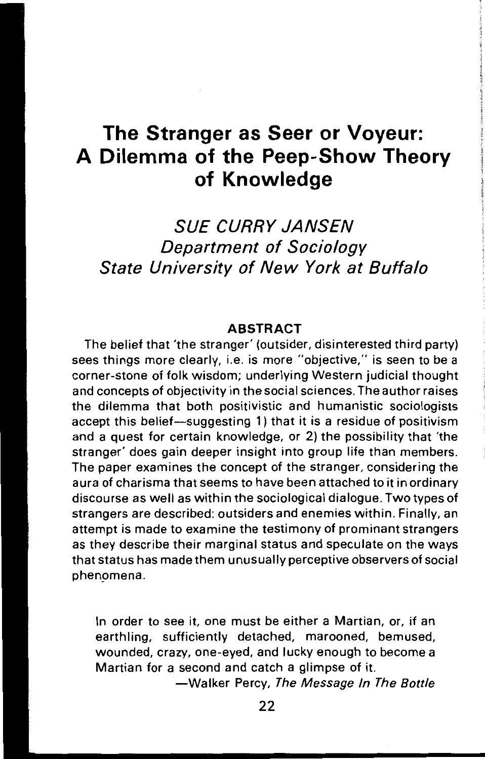# **The Stranger as Seer or Voyeur: A Dilemma of the Peep-Show Theory of Knowledge**

**SUE CURRY JANSEN Department of Sociology State University of New York at Buffalo** 

#### **ABSTRACT**

The belief that 'the stranger' (outsider, disinterested third party) sees things more clearly, i.e. is more "objective," is seen to be a corner-stone of folk wisdom; underlying Western judicial thought and concepts of objectivity in the social sciences. The author raises the dilemma that both positivistic and humanistic sociologists accept this belief-suggesting 1) that it is a residue of positivism and a quest for certain knowledge, or 2) the possibility that 'the stranger' does gain deeper insight into group life than members. The paper examines the concept of the stranger, considering the aura of charisma that seems to have been attached to it in ordinary discourse as well as within the sociological dialogue. Two types of strangers are described: outsiders and enemies within. Finally, an attempt is made to examine the testimony of prominant strangers as they describe their marginal status and speculate on the ways that status has made them unusually perceptive observers of social phenomena.

In order to see it, one must be either a Martian, or, if an earthling, sufficiently detached, marooned, bemused, wounded, crazy, one-eyed, and lucky enough to become a Martian for a second and catch a glimpse of it.

-Walker Percy, The Message In The Bottle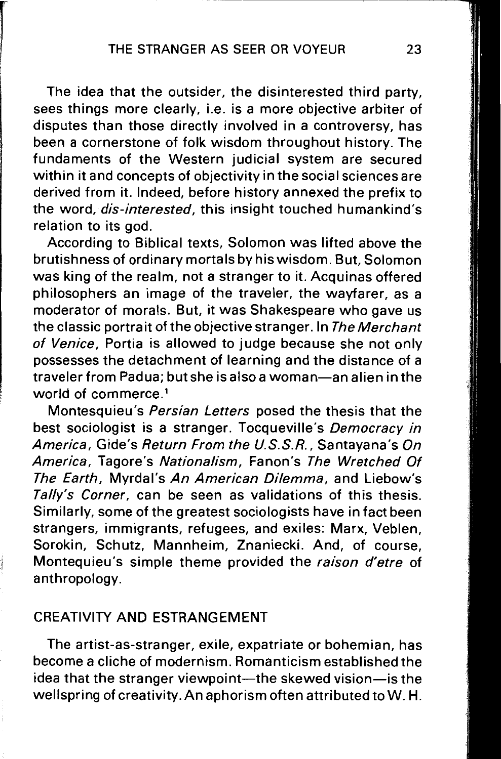The idea that the outsider, the disinterested third party, sees things more clearly, i.e. is a more objective arbiter of disputes than those directly involved in a controversy, has been a cornerstone of folk wisdom throughout history. The fundaments of the Western judicial system are secured within it and concepts of objectivity in the social sciences are derived from it. Indeed, before history annexed the prefix to the word, dis-interested, this insight touched humankind's relation to its god.

According to Biblical texts, Solomon was lifted above the brutishness of ordinary mortals by his wisdom. But, Solomon was king of the realm, not a stranger to it. Acquinas offered philosophers an image of the traveler, the wayfarer, as a moderator of morals. But, it was Shakespeare who gave us the classic portrait of the objective stranger. In The Merchant of Venice, Portia is allowed to judge because she not only possesses the detachment of learning and the distance of a traveler from Padua; but she is also a woman-an alien in the world of commerce.<sup>1</sup>

Montesquieu's Persian Letters posed the thesis that the best sociologist is a stranger. Tocqueville's Democracy in America, Gide's Return From the U.S.S.R., Santayana's On America, Tagore's Nationalism, Fanon's The Wretched Of The Earth, Myrdal's An American Dilemma, and Liebow's Tally's Corner, can be seen as validations of this thesis. Similarly, some of the greatest sociologists have in fact been strangers, immigrants, refugees, and exiles: Marx, Veblen, Sorokin, Schutz, Mannheim, Znaniecki. And, of course, Montequieu's simple theme provided the raison d'etre of anthropology.

#### CREATIVITY AND ESTRANGEMENT

The artist-as-stranger, exile, expatriate or bohemian, has become a cliche of modernism. Romanticism established the idea that the stranger viewpoint-the skewed vision-is the wellspring of creativity. An aphorism often attributed to W. H.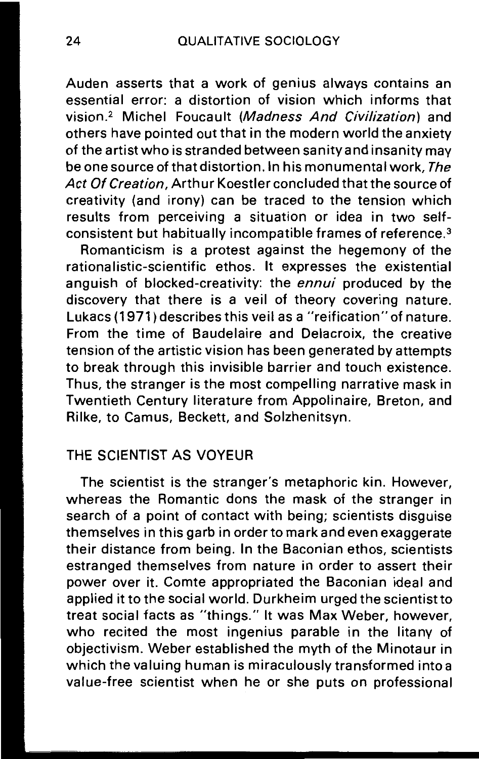Auden asserts that a work of genius always contains an essential error: a distortion of vision which informs that vision.<sup>2</sup> Michel Foucault (Madness And Civilization) and others have pointed out that in the modern world the anxiety of the artist who is stranded between sanity and insanity may be one source of that distortion. In his monumental work, The Act Of Creation, Arthur Koestler concluded that the source of creativity (and irony) can be traced to the tension which results from perceiving a situation or idea in two selfconsistent but habitually incompatible frames of reference. <sup>3</sup>

Romanticism is a protest against the hegemony of the rationalistic-scientific ethos. It expresses the existential anguish of blocked-creativity: the ennui produced by the discovery that there is a veil of theory covering nature. Lukacs (1971) describes this veil as a "reification" of nature. From the time of Baudelaire and Delacroix, the creative tension of the artistic vision has been generated by attempts to break through this invisible barrier and touch existence. Thus, the stranger is the most compelling narrative mask in Twentieth Century literature from Appolinaire, Breton, and Rilke, to Camus, Beckett, and Solzhenitsyn.

### **THE** SCIENTIST AS VOYEUR

The scientist is the stranger's metaphoric kin. However, whereas the Romantic dons the mask of the stranger in search of a point of contact with being; scientists disguise themselves in this garb in order to mark and even exaggerate their distance from being. In the Baconian ethos, scientists estranged themselves from nature in order to assert their power over it. Comte appropriated the Baconian ideal and applied it to the social world. Durkheim urged the scientist to treat social facts as "things." It was Max Weber, however, who recited the most ingenius parable in the litany of objectivism. Weber established the myth of the Minotaur in which the valuing human is miraculously transformed into a value-free scientist when he or she puts on professional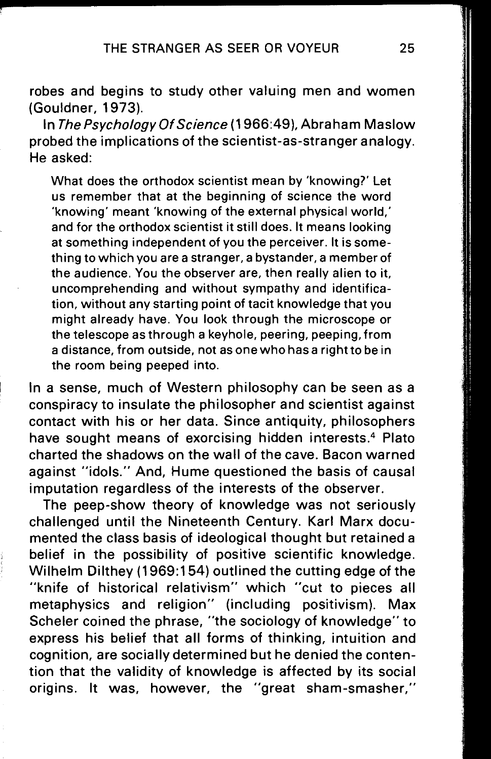robes and begins to study other valuing men and women (Gouldner, 1973).

In The Psychology Of Science ( 1966:49), Abraham Maslow probed the implications of the scientist-as-stranger analogy. He asked:

What does the orthodox scientist mean by 'knowing?' Let us remember that at the beginning of science the word 'knowing' meant 'knowing of the external physical world,' and for the orthodox scientist it still does. It means looking at something independent of you the perceiver. It is something to which you are a stranger, a bystander, a member of the audience. You the observer are, then really alien to it, uncomprehending and without sympathy and identification, without any starting point of tacit knowledge that you might already have. You look through the microscope or the telescope as through a keyhole, peering, peeping, from a distance, from outside, not as one who has a right to be in the room being peeped into.

In a sense, much of Western philosophy can be seen as a conspiracy to insulate the philosopher and scientist against contact with his or her data. Since antiquity, philosophers have sought means of exorcising hidden interests.<sup>4</sup> Plato charted the shadows on the wall of the cave. Bacon warned against "idols." And, Hume questioned the basis of causal imputation regardless of the interests of the observer.

The peep-show theory of knowledge was not seriously challenged until the Nineteenth Century. Karl Marx documented the class basis of ideological thought but retained a belief in the possibility of positive scientific knowledge. Wilhelm Dilthey (1969:154) outlined the cutting edge of the "knife of historical relativism" which "cut to pieces all metaphysics and religion" (including positivism). Max Scheler coined the phrase, "the sociology of knowledge" to express his belief that all forms of thinking, intuition and cognition, are socially determined but he denied the contention that the validity of knowledge is affected by its social origins. It was, however, the "great sham-smasher,"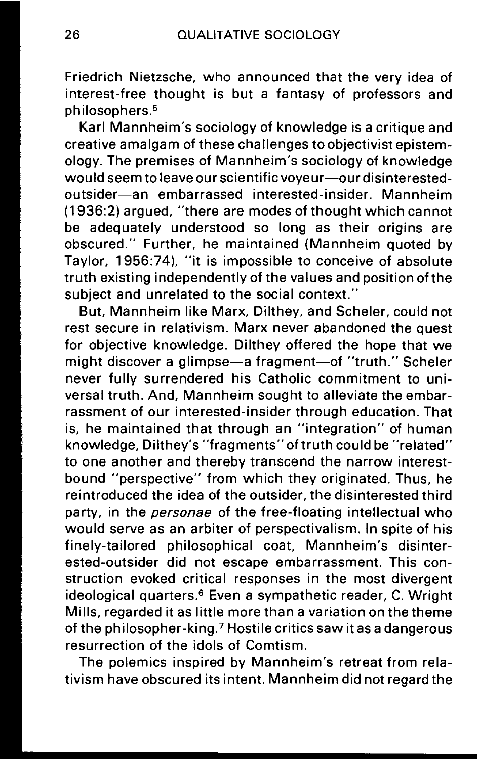Friedrich Nietzsche, who announced that the very idea of interest-free thought is but a fantasy of professors and philosophers. <sup>5</sup>

Karl Mannheim's sociology of knowledge is a critique and creative amalgam of these challenges to objectivist epistemology. The premises of Mannheim's sociology of knowledge would seem to leave our scientific voyeur-our disinterestedoutsider-an embarrassed interested-insider. Mannheim (1936:2) argued, "there are modes of thought which cannot be adequately understood so long as their origins are obscured." Further, he maintained (Mannheim quoted by Taylor, 1956:74), "it is impossible to conceive of absolute truth existing independently of the values and position of the subject and unrelated to the social context."

But, Mannheim like Marx, Dilthey, and Scheler, could not rest secure in relativism. Marx never abandoned the quest for objective knowledge. Dilthey offered the hope that we might discover a glimpse-a fragment-of "truth." Scheler never fully surrendered his Catholic commitment to universal truth. And, Mannheim sought to alleviate the embarrassment of our interested-insider through education. That is, he maintained that through an "integration" of human knowledge, Dilthey's "fragments" of truth could be "related" to one another and thereby transcend the narrow interestbound "perspective" from which they originated. Thus, he reintroduced the idea of the outsider, the disinterested third party, in the *personae* of the free-floating intellectual who would serve as an arbiter of perspectivalism. In spite of his finely-tailored philosophical coat, Mannheim's disinterested-outsider did not escape embarrassment. This construction evoked critical responses in the most divergent ideological quarters.<sup>6</sup> Even a sympathetic reader, C. Wright Mills, regarded it as little more than a variation on the theme of the philosopher-king.<sup>7</sup> Hostile critics saw it as a dangerous resurrection of the idols of Comtism.

The polemics inspired by Mannheim's retreat from relativism have obscured its intent. Mannheim did not regard the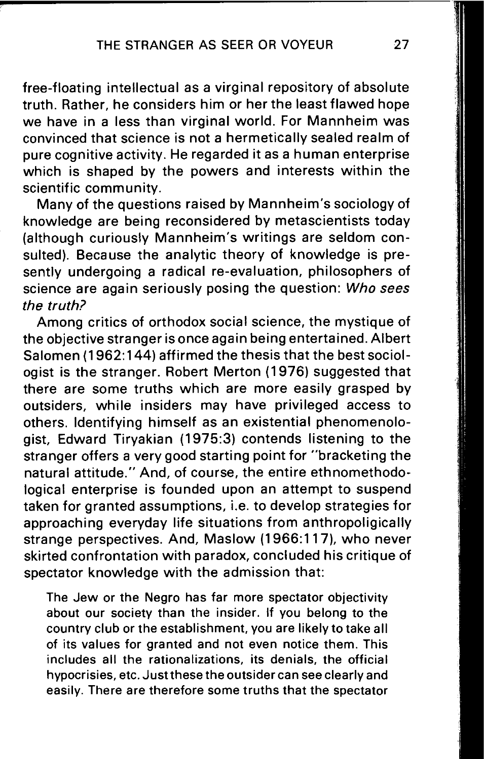free-floating intellectual as a virginal repository of absolute truth. Rather, he considers him or her the least flawed hope we have in a less than virginal world. For Mannheim was convinced that science is not a hermetically sealed realm of pure cognitive activity. He regarded it as a human enterprise which is shaped by the powers and interests within the scientific community.

Many of the questions raised by Mannheim's sociology of knowledge are being reconsidered by metascientists today (although curiously Mannheim's writings are seldom consulted). Because the analytic theory of knowledge is presently undergoing a radical re-evaluation, philosophers of science are again seriously posing the question: Who sees the truth?

Among critics of orthodox social science, the mystique of the objective stranger is once again being entertained. Albert Salomen (1962:144) affirmed the thesis that the best sociologist is the stranger. Robert Merton (1976) suggested that there are some truths which are more easily grasped by outsiders, while insiders may have privileged access to others. Identifying himself as an existential phenomenologist, Edward Tiryakian (1975:3) contends listening to the stranger offers a very good starting point for "bracketing the natural attitude." And, of course, the entire ethnomethodological enterprise is founded upon an attempt to suspend taken for granted assumptions, i.e. to develop strategies for approaching everyday life situations from anthropoligically strange perspectives. And, Maslow (1966:117), who never skirted confrontation with paradox, concluded his critique of spectator knowledge with the admission that:

The Jew or the Negro has far more spectator objectivity about our society than the insider. If you belong to the country club or the establishment, you are likely to take all of its values for granted and not even notice them. This includes all the rationalizations, its denials, the official hypocrisies, etc. Just these the outsider can see clearly and easily. There are therefore some truths that the spectator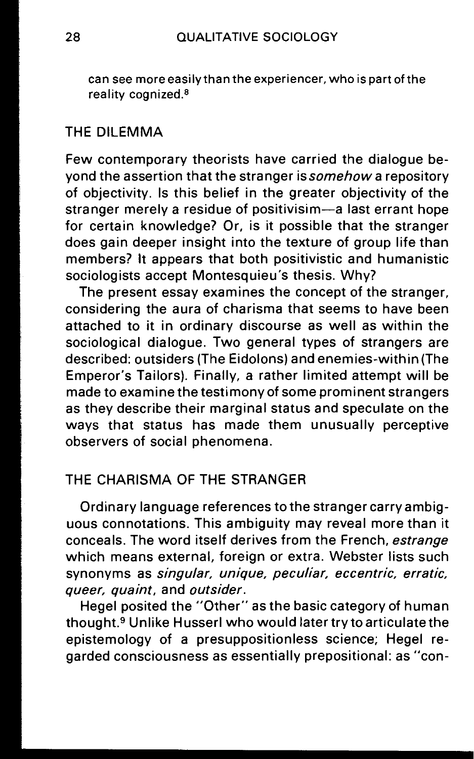can see more easily than the experiencer, who is part of the reality cognized.<sup>8</sup>

# THE DILEMMA

Few contemporary theorists have carried the dialogue beyond the assertion that the stranger is *somehow* a repository of objectivity. Is this belief in the greater objectivity of the stranger merely a residue of positivisim-a last errant hope for certain knowledge? Or, is it possible that the stranger does gain deeper insight into the texture of group life than members? It appears that both positivistic and humanistic sociologists accept Montesquieu's thesis. Why?

The present essay examines the concept of the stranger, considering the aura of charisma that seems to have been attached to it in ordinary discourse as well as within the sociological dialogue. Two general types of strangers are described: outsiders (The Eidolons) and enemies-within (The Emperor's Tailors). Finally, a rather limited attempt will be made to examine the testimony of some prominent strangers as they describe their marginal status and speculate on the ways that status has made them unusually perceptive observers of social phenomena.

# THE CHARISMA OF THE STRANGER

Ordinary language references to the stranger carry ambiguous connotations. This ambiguity may reveal more than it conceals. The word itself derives from the French, *estrange*  which means external, foreign or extra. Webster lists such synonyms as *singular, unique, peculiar, eccentric, erratic, queer, quaint,* and *outsider.* 

Hegel posited the "Other" as the basic category of human thought.<sup>9</sup> Unlike Husserl who would later try to articulate the epistemology of a presuppositionless science; Hegel regarded consciousness as essentially prepositional: as "con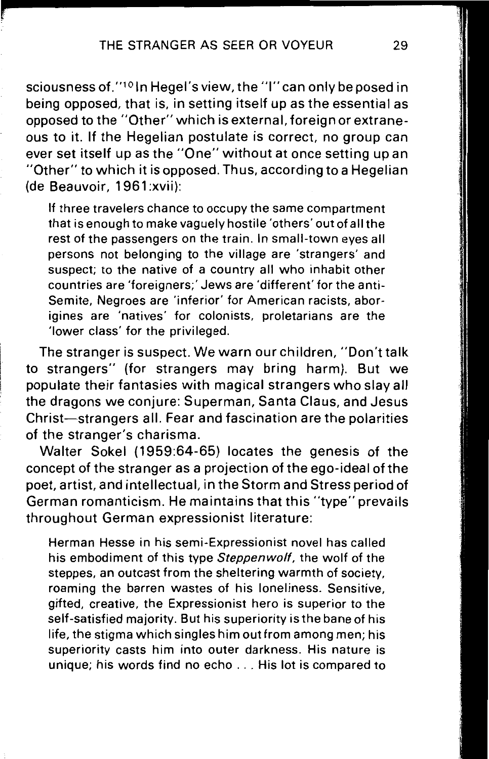sciousness of.<sup>"10</sup> In Hegel's view, the "I" can only be posed in being opposed, that is, in setting itself up as the essential as opposed to the "Other" which is external, foreign or extraneous to it. If the Hegelian postulate is correct, no group can ever set itself up as the "One" without at once setting up an "Other" to which it is opposed. Thus, according to a Hegelian (de Beauvoir, 1961 :xvii):

If three travelers chance to occupy the same compartment that is enough to make vaguely hostile 'others' out of all the rest of the passengers on the train. In small-town eyes all persons not belonging to the village are 'strangers' and suspect; to the native of a country all who inhabit other countries are 'foreigners;' Jews are 'different' for the anti-Semite, Negroes are 'inferior' for American racists, aborigines are 'natives' for colonists, proletarians are the 'lower class' for the privileged.

The stranger is suspect. We warn our children, "Don't talk to strangers" (for strangers may bring harm). But we populate their fantasies with magical strangers who slay all the dragons we conjure: Superman, Santa Claus, and Jesus Christ-strangers all. Fear and fascination are the polarities of the stranger's charisma.

Walter Sokel (1959:64-65) locates the genesis of the concept of the stranger as a projection of the ego-ideal of the poet, artist, and intellectual, in the Storm and Stress period of German romanticism. He maintains that this "type" prevails throughout German expressionist literature:

Herman Hesse in his semi-Expressionist novel has called his embodiment of this type Steppenwolf, the wolf of the steppes, an outcast from the sheltering warmth of society, roaming the barren wastes of his loneliness. Sensitive, gifted, creative, the Expressionist hero is superior to the self-satisfied majority. But his superiority is the bane of his life, the stigma which singles him out from among men; his superiority casts him into outer darkness. His nature is unique; his words find no echo ... His lot is compared to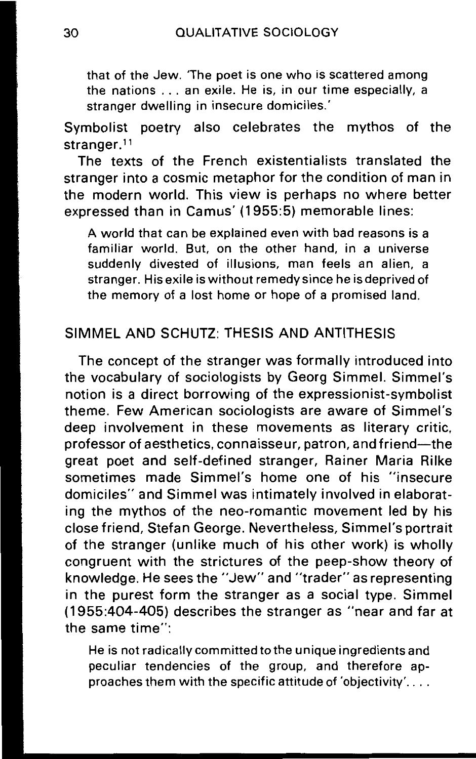that of the Jew. 'The poet is one who is scattered among the nations ... an exile. He is, in our time especially, a stranger dwelling in insecure domiciles.'

Symbolist poetry also celebrates the mythos of the stranger.<sup>11</sup>

The texts of the French existentialists translated the stranger into a cosmic metaphor for the condition of man in the modern world. This view is perhaps no where better expressed than in Camus' (1955:5) memorable lines:

A world that can be explained even with bad reasons is a familiar world. But, on the other hand, in a universe suddenly divested of illusions, man feels an alien, a stranger. His exile is without remedy since he is deprived of the memory of a lost home or hope of a promised land.

# SIMMEL AND SCHUTZ: THESIS AND ANTITHESIS

The concept of the stranger was formally introduced into the vocabulary of sociologists by Georg Simmel. Simmel's notion is a direct borrowing of the expressionist-symbolist theme. Few American sociologists are aware of Simmel's deep involvement in these movements as literary critic, professor of aesthetics, connaisseur, patron, and friend-the great poet and self-defined stranger, Rainer Maria Rilke sometimes made Simmel's home one of his "insecure domiciles" and Simmel was intimately involved in elaborating the mythos of the neo-romantic movement led by his close friend, Stefan George. Nevertheless, Simmel's portrait of the stranger (unlike much of his other work) is wholly congruent with the strictures of the peep-show theory of knowledge. He sees the "Jew" and "trader" as representing in the purest form the stranger as a social type. Simmel (1955:404-405) describes the stranger as "near and far at the same time":

He is not radically committed to the unique ingredients and peculiar tendencies of the group, and therefore approaches them with the specific attitude of 'objectivity'....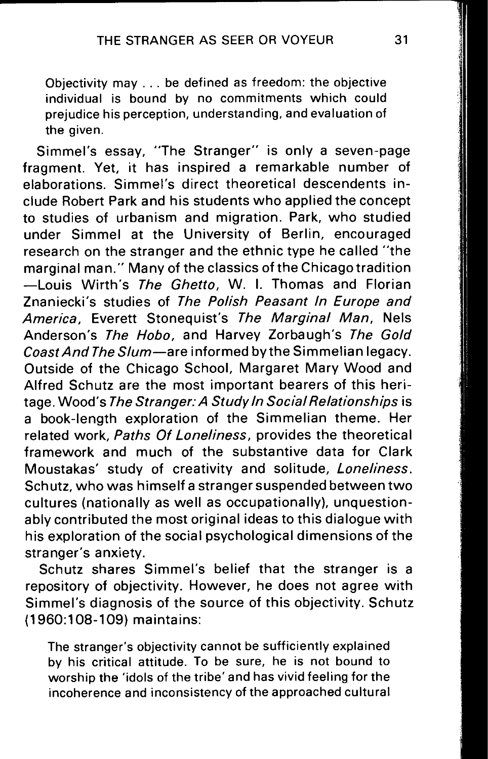Objectivity may ... be defined as freedom: the objective individual is bound by no commitments which could prejudice his perception, understanding, and evaluation of the given.

Simmel's essay, "The Stranger" is only a seven-page fragment. Yet, it has inspired a remarkable number of elaborations. Simmel's direct theoretical descendents include Robert Park and his students who applied the concept to studies of urbanism and migration. Park, who studied under Simmel at the University of Berlin, encouraged research on the stranger and the ethnic type he called "the marginal man." Many of the classics of the Chicago tradition -Louis Wirth's The Ghetto, W. I. Thomas and Florian Znaniecki's studies of The Polish Peasant In Europe and America, Everett Stonequist's The Marginal Man, Nels Anderson's The Hobo, and Harvey Zorbaugh's The Gold Coast And The Slum-are informed by the Simmelian legacy. Outside of the Chicago School, Margaret Mary Wood and Alfred Schutz are the most important bearers of this heritage. Wood's The Stranger: A Study In Social Relationships is a book-length exploration of the Simmelian theme. Her related work, Paths Of Loneliness, provides the theoretical framework and much of the substantive data for Clark Moustakas' study of creativity and solitude, Loneliness. Schutz, who was himself a stranger suspended between two cultures (nationally as well as occupationally), unquestionably contributed the most original ideas to this dialogue with his exploration of the social psychological dimensions of the stranger's anxiety.

Schutz shares Simmel's belief that the stranger is a repository of objectivity. However, he does not agree with Simmel's diagnosis of the source of this objectivity. Schutz (1960:108-109) maintains:

The stranger's objectivity cannot be sufficiently explained by his critical attitude. To be sure, he is not bound to worship the 'idols of the tribe' and has vivid feeling for the incoherence and inconsistency of the approached cultural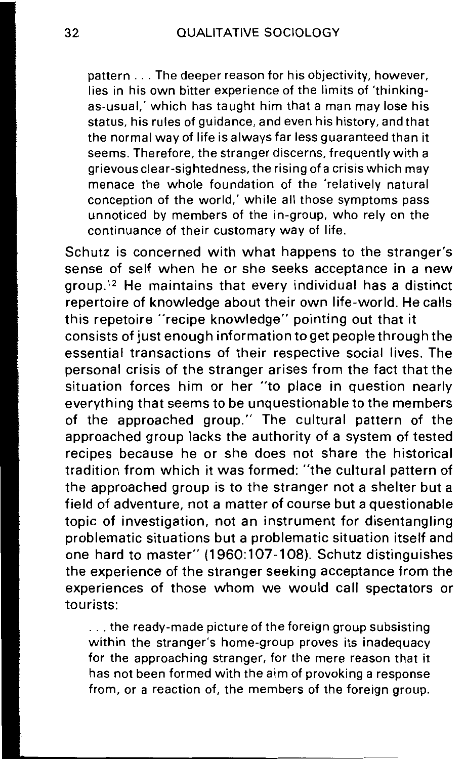pattern ... The deeper reason for his objectivity, however, lies in his own bitter experience of the limits of 'thinkingas-usual,' which has taught him that a man may lose his status, his rules of guidance, and even his history, and that the normal way of life is always far less guaranteed than it seems. Therefore, the stranger discerns, frequently with a grievous clear-sightedness, the rising of a crisis which may menace the whole foundation of the 'relatively natural conception of the world,' while all those symptoms pass unnoticed by members of the in-group, who rely on the continuance of their customary way of life.

Schutz is concerned with what happens to the stranger's sense of self when he or she seeks acceptance in a new group.<sup>12</sup> He maintains that every individual has a distinct repertoire of knowledge about their own life-world. He calls this repetoire "recipe knowledge" pointing out that it consists of just enough information to get people through the essential transactions of their respective social lives. The personal crisis of the stranger arises from the fact that the situation forces him or her "to place in question nearly everything that seems to be unquestionable to the members of the approached group." The cultural pattern of the approached group lacks the authority of a system of tested recipes because he or she does not share the historical tradition from which it was formed: "the cultural pattern of the approached group is to the stranger not a shelter but a field of adventure, not a matter of course but a questionable topic of investigation, not an instrument for disentangling problematic situations but a problematic situation itself and one hard to master" (1960:107-108). Schutz distinguishes the experience of the stranger seeking acceptance from the experiences of those whom we would call spectators or tourists:

... the ready-made picture of the foreign group subsisting within the stranger's home-group proves its inadequacy for the approaching stranger, for the mere reason that it has not been formed with the aim of provoking a response from, or a reaction of, the members of the foreign group.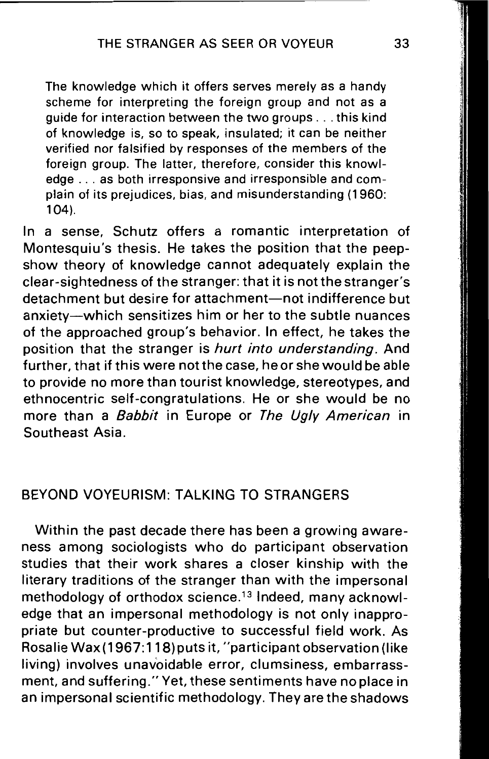The knowledge which it offers serves merely as a handy scheme for interpreting the foreign group and not as a guide for interaction between the two groups ... this kind of knowledge is, so to speak, insulated; it can be neither verified nor falsified by responses of the members of the foreign group. The latter, therefore, consider this knowledge ... as both irresponsive and irresponsible and complain of its prejudices, bias, and misunderstanding (1960: 104).

In a sense, Schutz offers a romantic interpretation of Montesquiu's thesis. He takes the position that the peepshow theory of knowledge cannot adequately explain the clear-sightedness of the stranger: that it is not the stranger's detachment but desire for attachment-not indifference but anxiety-which sensitizes him or her to the subtle nuances of the approached group's behavior. In effect, he takes the position that the stranger is hurt into understanding. And further, that if this were not the case, he or she would be able to provide no more than tourist knowledge, stereotypes, and ethnocentric self-congratulations. He or she would be no more than a Babbit in Europe or The Ugly American in Southeast Asia.

### BEYOND VOYEURISM: TALKING TO STRANGERS

Within the past decade there has been a growing awareness among sociologists who do participant observation studies that their work shares a closer kinship with the literary traditions of the stranger than with the impersonal methodology of orthodox science.<sup>13</sup> Indeed, many acknowledge that an impersonal methodology is not only inappropriate but counter-productive to successful field work. As Rosalie Wax(1967: 118) puts it, "participant observation (like living) involves unavoidable error, clumsiness, embarrassment, and suffering." Yet, these sentiments have no place in an impersonal scientific methodology. They are the shadows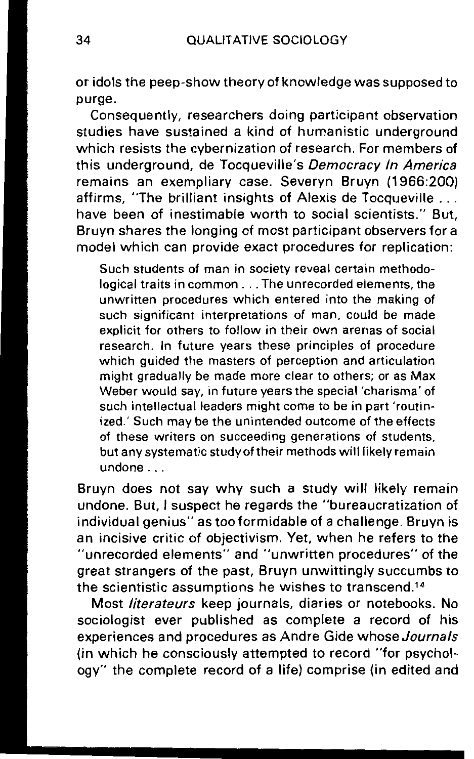or idols the peep-show theory of knowledge was supposed to purge.

Consequently, researchers doing participant observation studies have sustained a kind of humanistic underground which resists the cybernization of research. For members of this underground, de Tocqueville's Democracy In America remains an exempliary case. Severyn Bruyn (1966:200) affirms, "The brilliant insights of Alexis de Tocqueville ... have been of inestimable worth to social scientists." But, Bruyn shares the longing of most participant observers for a model which can provide exact procedures for replication:

Such students of man in society reveal certain methodological traits in common ... The unrecorded elements, the unwritten procedures which entered into the making of such significant interpretations of man, could be made explicit for others to follow in their own arenas of social research. In future years these principles of procedure which guided the masters of perception and articulation might gradually be made more clear to others; or as Max Weber would say, in future years the special 'charisma' of such intellectual leaders might come to be in part 'routinized.' Such may be the unintended outcome of the effects of these writers on succeeding generations of students, but any systematic study of their methods will likely remain undone ...

Bruyn does not say why such a study will likely remain undone. But, I suspect he regards the "bureaucratization of individual genius" as too formidable of a challenge. Bruyn is an incisive critic of objectivism. Yet, when he refers to the "unrecorded elements" and "unwritten procedures" of the great strangers of the past, Bruyn unwittingly succumbs to the scientistic assumptions he wishes to transcend. <sup>14</sup>

Most literateurs keep journals, diaries or notebooks. No sociologist ever published as complete a record of his experiences and procedures as Andre Gide whose Journals (in which he consciously attempted to record "for psychology" the complete record of a life) comprise (in edited and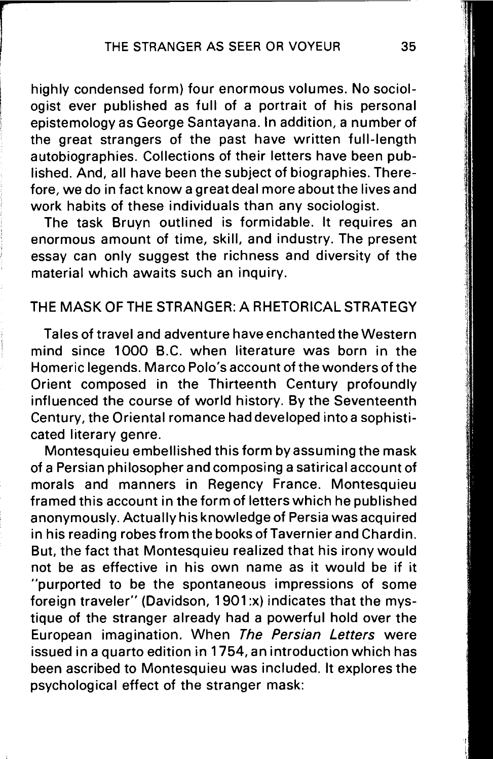highly condensed form) four enormous volumes. No sociologist ever published as full of a portrait of his personal epistemology as George Santayana. In addition, a number of the great strangers of the past have written full-length autobiographies. Collections of their letters have been published. And, all have been the subject of biographies. Therefore, we do in fact know a great deal more about the lives and work habits of these individuals than any sociologist.

The task Bruyn outlined is formidable. It requires an enormous amount of time, skill, and industry. The present essay can only suggest the richness and diversity of the material which awaits such an inquiry.

# THE MASK OF THE STRANGER: A RHETORICAL STRATEGY

Tales of travel and adventure have enchanted the Western mind since 1000 B.C. when literature was born in the Homeric legends. Marco Polo's account of the wonders of the Orient composed in the Thirteenth Century profoundly influenced the course of world history. By the Seventeenth Century, the Oriental romance had developed into a sophisticated literary genre.

Montesquieu embellished this form by assuming the mask of a Persian philosopher and composing a satirical account of morals and manners in Regency France. Montesquieu framed this account in the form of letters which he published anonymously. Actually his knowledge of Persia was acquired in his reading robes from the books of Tavernier and Chardin. But, the fact that Montesquieu realized that his irony would not be as effective in his own name as it would be if it "purported to be the spontaneous impressions of some foreign traveler" (Davidson, 1901:x) indicates that the mystique of the stranger already had a powerful hold over the European imagination. When The Persian Letters were issued in a quarto edition in 1754, an introduction which has been ascribed to Montesquieu was included. It explores the psychological effect of the stranger mask: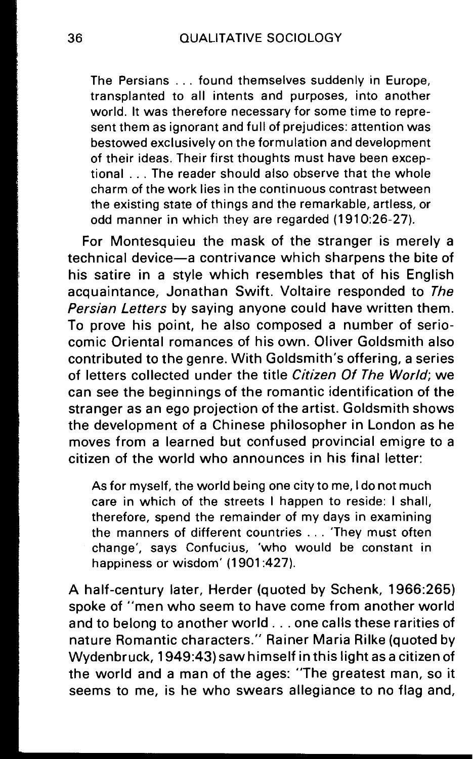The Persians ... found themselves suddenly in Europe, transplanted to all intents and purposes, into another world. It was therefore necessary for some time to represent them as ignorant and full of prejudices: attention was bestowed exclusively on the formulation and development of their ideas. Their first thoughts must have been exceptional ... The reader should also observe that the whole charm of the work lies in the continuous contrast between the existing state of things and the remarkable, artless, or odd manner in which they are regarded (1910:26-27).

For Montesquieu the mask of the stranger is merely a technical device-a contrivance which sharpens the bite of his satire in a style which resembles that of his English acquaintance, Jonathan Swift. Voltaire responded to The Persian Letters by saying anyone could have written them. To prove his point, he also composed a number of seriocomic Oriental romances of his own. Oliver Goldsmith also contributed to the genre. With Goldsmith's offering, a series of letters collected under the title Citizen Of The World; we can see the beginnings of the romantic identification of the stranger as an ego projection of the artist. Goldsmith shows the development of a Chinese philosopher in London as he moves from a learned but confused provincial emigre to a citizen of the world who announces in his final letter:

As for myself, the world being one city to me, I do not much care in which of the streets I happen to reside: I shall, therefore, spend the remainder of my days in examining the manners of different countries ... 'They must often change', says Confucius, 'who would be constant in happiness or wisdom' (1901:427).

A half-century later, Herder (quoted by Schenk, 1966:265) spoke of "men who seem to have come from another world and to belong to another world ... one calls these rarities of nature Romantic characters." Rainer Maria Rilke (quoted by Wydenbruck, 1949:43) saw himself in this light as a citizen of the world and a man of the ages: "The greatest man, so it seems to me, is he who swears allegiance to no flag and,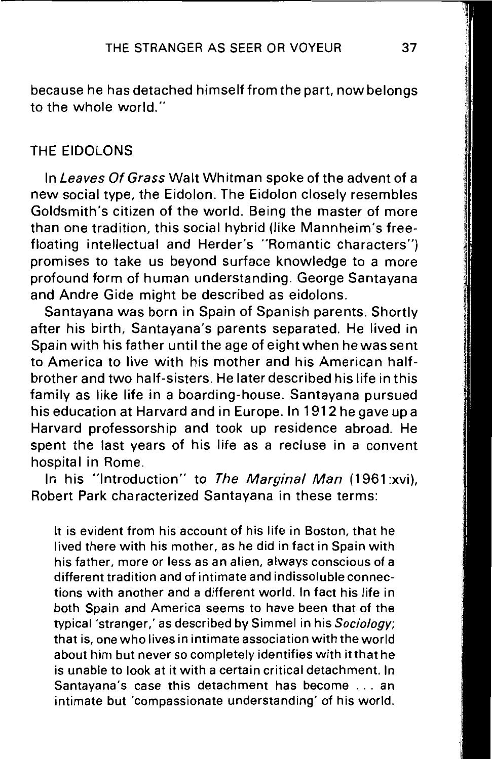because he has detached himself from the part, now belongs to the whole world."

### THE EIDOLONS

In Leaves Of Grass Walt Whitman spoke of the advent of a new social type, the Eidolon. The Eidolon closely resembles Goldsmith's citizen of the world. Being the master of more than one tradition, this social hybrid (like Mannheim's freefloating intellectual and Herder's "Romantic characters") promises to take us beyond surface knowledge to a more profound form of human understanding. George Santayana and Andre Gide might be described as eidolons.

Santayana was born in Spain of Spanish parents. Shortly after his birth, Santayana's parents separated. He lived in Spain with his father until the age of eight when he was sent to America to live with his mother and his American halfbrother and two half-sisters. He later described his life in this family as like life in a boarding-house. Santayana pursued his education at Harvard and in Europe. In 1912 he gave up a Harvard professorship and took up residence abroad. He spent the last years of his life as a recluse in a convent hospital in Rome.

In his "Introduction" to The Marginal Man (1961:xvi), Robert Park characterized Santayana in these terms:

It is evident from his account of his life in Boston, that he lived there with his mother, as he did in fact in Spain with his father, more or less as an alien, always conscious of a different tradition and of intimate and indissoluble connections with another and a different world. In fact his life in both Spain and America seems to have been that of the typical 'stranger,' as described by Simmel in his *Sociology;*  that is, one who lives in intimate association with the world about him but never so completely identifies with it that he is unable to look at it with a certain critical detachment. In Santayana's case this detachment has become ... an intimate but 'compassionate understanding' of his world.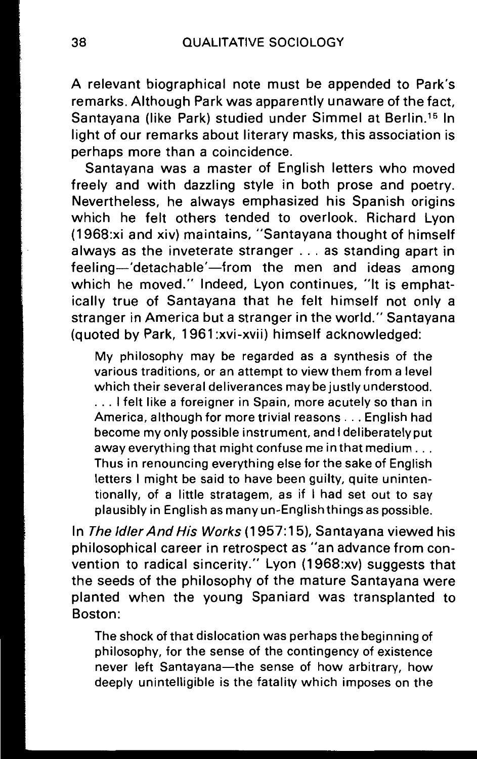A relevant biographical note must be appended to Park's remarks. Although Park was apparently unaware of the fact, Santayana (like Park) studied under Simmel at Berlin.<sup>15</sup> In light of our remarks about literary masks, this association is perhaps more than a coincidence.

Santayana was a master of English letters who moved freely and with dazzling style in both prose and poetry. Nevertheless, he always emphasized his Spanish origins which he felt others tended to overlook. Richard Lyon (1968:xi and xiv) maintains, "Santayana thought of himself always as the inveterate stranger ... as standing apart in feeling-'detachable'-from the men and ideas among which he moved." Indeed, Lyon continues, "It is emphatically true of Santayana that he felt himself not only a stranger in America but a stranger in the world." Santayana (quoted by Park, 1961 :xvi-xvii) himself acknowledged:

My philosophy may be regarded as a synthesis of the various traditions, or an attempt to view them from a level which their several deliverances may be justly understood. . . . I felt like a foreigner in Spain, more acutely so than in America, although for more trivial reasons ... English had become my only possible instrument, and I deliberately put away everything that might confuse me in that medium . . . Thus in renouncing everything else for the sake of English letters I might be said to have been guilty, quite unintentionally, of a little stratagem, as if I had set out to say plausibly in English as many un-English things as possible.

In The Idler And His Works (1957: 15), Santayana viewed his philosophical career in retrospect as "an advance from convention to radical sincerity." Lyon (1968:xv) suggests that the seeds of the philosophy of the mature Santayana were planted when the young Spaniard was transplanted to Boston:

The shock of that dislocation was perhaps the beginning of philosophy, for the sense of the contingency of existence never left Santayana-the sense of how arbitrary, how deeply unintelligible is the fatality which imposes on the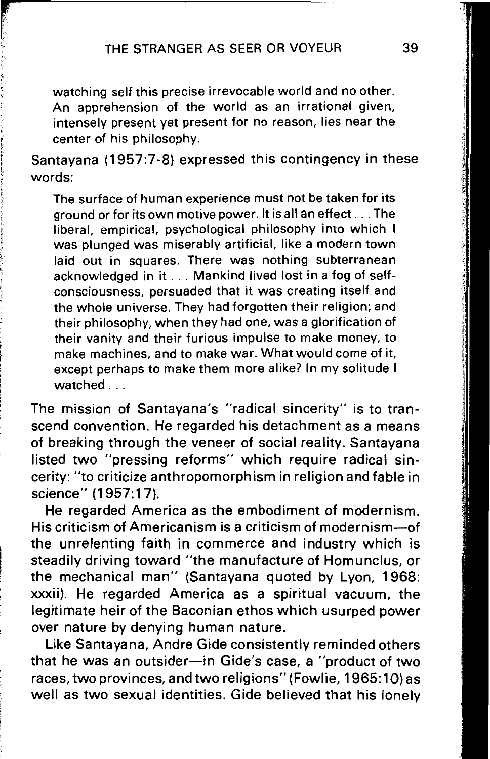watching self this precise irrevocable world and no other. An apprehension of the world as an irrational given, intensely present yet present for no reason, lies near the center of his philosophy.

Santayana (1957:7-8) expressed this contingency in these words:

The surface of human experience must not be taken for its ground or for its own motive power. It is all an effect ... The liberal, empirical, psychological philosophy into which I was plunged was miserably artificial, like a modern town laid out in squares. There was nothing subterranean acknowledged in it ... Mankind lived lost in a fog of selfconsciousness, persuaded that it was creating itself and the whole universe. They had forgotten their religion; and their philosophy, when they had one, was a glorification of their vanity and their furious impulse to make money, to make machines, and to make war. What would come of it, except perhaps to make them more alike? In my solitude I watched ...

The mission of Santayana's "radical sincerity" is to transcend convention. He regarded his detachment as a means of breaking through the veneer of social reality. Santayana listed two "pressing reforms" which require radical sincerity: "to criticize anthropomorphism in religion and fable in science" (1957:17).

He regarded America as the embodiment of modernism. His criticism of Americanism is a criticism of modernism-of the unrelenting faith in commerce and industry which is steadily driving toward "the manufacture of Homunclus, or the mechanical man" (Santayana quoted by Lyon, 1968: xxxii). He regarded America as a spiritual vacuum, the legitimate heir of the Baconian ethos which usurped power over nature by denying human nature.

Like Santayana, Andre Gide consistently reminded others that he was an outsider-in Gide's case, a "product of two races, two provinces, and two religions" (Fowlie, 1965: 10) as well as two sexual identities. Gide believed that his lonely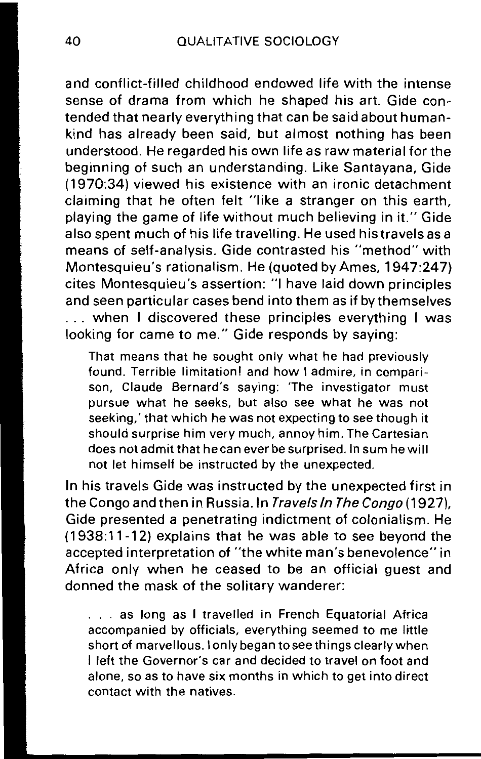and conflict-filled childhood endowed life with the intense sense of drama from which he shaped his art. Gide contended that nearly everything that can be said about humankind has already been said, but almost nothing has been understood. He regarded his own life as raw material for the beginning of such an understanding. Like Santayana, Gide (1970:34) viewed his existence with an ironic detachment claiming that he often felt "like a stranger on this earth, playing the game of life without much believing in it." Gide also spent much of his life travelling. He used his travels as a means of self-analysis. Gide contrasted his "method" with Montesquieu's rationalism. He (quoted by Ames, 1947:247) cites Montesquieu's assertion: "I have laid down principles and seen particular cases bend into them as if by themselves ... when I discovered these principles everything I was looking for came to me." Gide responds by saying:

That means that he sought only what he had previously found. Terrible limitation! and how I admire, in comparison, Claude Bernard's saying: The investigator must pursue what he seeks, but also see what he was not seeking,' that which he was not expecting to see though it should surprise him very much, annoy him. The Cartesian does not admit that he can ever be surprised. In sum he will not let himself be instructed by the unexpected.

In his travels Gide was instructed by the unexpected first in the Congo and then in Russia. In Travels In The Congo (1927), Gide presented a penetrating indictment of colonialism. He (1938:11-12) explains that he was able to see beyond the accepted interpretation of "the white man's benevolence" in Africa only when he ceased to be an official guest and donned the mask of the solitary wanderer:

... as long as I travelled in French Equatorial Africa accompanied by officials, everything seemed to me little short of marvellous. I only began to see things clearly when I left the Governor's car and decided to travel on foot and alone, so as to have six months in which to get into direct contact with the natives.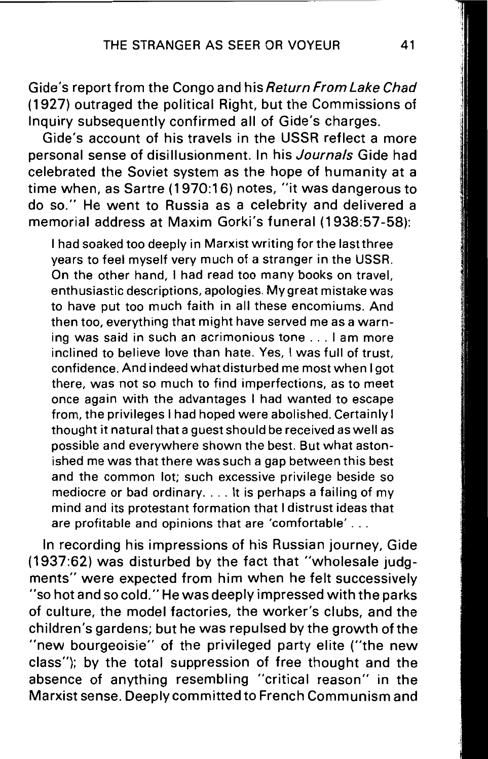Gide's report from the Congo and his Return From Lake Chad (1927) outraged the political Right, but the Commissions of Inquiry subsequently confirmed all of Gide's charges.

Gide's account of his travels in the USSR reflect a more personal sense of disillusionment. In his *Journals* Gide had celebrated the Soviet system as the hope of humanity at a time when, as Sartre (1970:16) notes, "it was dangerous to do so." He went to Russia as a celebrity and delivered a memorial address at Maxim Gorki's funeral (1938:57-58):

I had soaked too deeply in Marxist writing for the last three years to feel myself very much of a stranger in the USSR. On the other hand, I had read too many books on travel. enthusiastic descriptions, apologies. My great mistake was to have put too much faith in all these encomiums. And then too, everything that might have served me as a warning was said in such an acrimonious tone ... I am more inclined to believe love than hate. Yes, I was full of trust, confidence. And indeed what disturbed me most when I got there, was not so much to find imperfections, as to meet once again with the advantages I had wanted to escape from, the privileges I had hoped were abolished. Certainly I thought it natural that a guest should be received as well as possible and everywhere shown the best. But what astonished me was that there was such a gap between this best and the common lot; such excessive privilege beside so mediocre or bad ordinary.... It is perhaps a failing of my mind and its protestant formation that I distrust ideas that are profitable and opinions that are 'comfortable' ...

In recording his impressions of his Russian journey, Gide (1937:62) was disturbed by the fact that "wholesale judgments" were expected from him when he felt successively "so hot and so cold." He was deeply impressed with the parks of culture, the model factories, the worker's clubs, and the children's gardens; but he was repulsed by the growth of the "new bourgeoisie" of the privileged party elite ("the new class"); by the total suppression of free thought and the absence of anything resembling "critical reason" in the Marxist sense. Deeply committed to French Communism and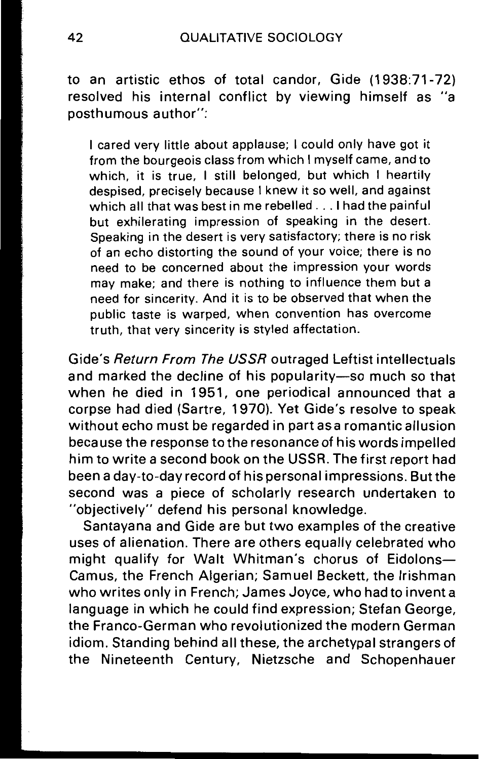to an artistic ethos of total candor, Gide (1938:71-72) resolved his internal conflict by viewing himself as "a posthumous author":

I cared very little about applause; I could only have got it from the bourgeois class from which I myself came, and to which, it is true, I still belonged, but which I heartily despised, precisely because I knew it so well, and against which all that was best in me rebelled ... I had the painful but exhilerating impression of speaking in the desert. Speaking in the desert is very satisfactory; there is no risk of an echo distorting the sound of your voice; there is no need to be concerned about the impression your words may make; and there is nothing to influence them but a need for sincerity. And it is to be observed that when the public taste is warped, when convention has overcome truth, that very sincerity is styled affectation.

Gide's Return From The USSR outraged Leftist intellectuals and marked the decline of his popularity-so much so that when he died in 1951, one periodical announced that a corpse had died (Sartre, 1970). Yet Gide's resolve to speak without echo must be regarded in part as a romantic allusion because the response to the resonance of his words impelled him to write a second book on the USSR. The first report had been a day-to-day record of his personal impressions. But the second was a piece of scholarly research undertaken to "objectively" defend his personal knowledge.

Santayana and Gide are but two examples of the creative uses of alienation. There are others equally celebrated who might qualify for Walt Whitman's chorus of Eidolons-Camus, the French Algerian; Samuel Beckett, the Irishman who writes only in French; James Joyce, who had to invent a language in which he could find expression; Stefan George, the Franco-German who revolutionized the modern German idiom. Standing behind all these, the archetypal strangers of the Nineteenth Century, Nietzsche and Schopenhauer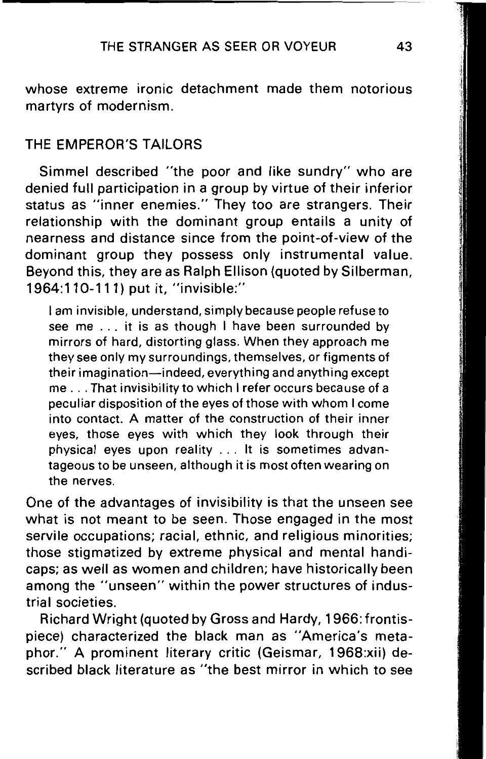whose extreme ironic detachment made them notorious martyrs of modernism.

### THE EMPEROR'S TAILORS

Simmel described "the poor and like sundry" who are denied full participation in a group by virtue of their inferior status as "inner enemies." They too are strangers. Their relationship with the dominant group entails a unity of nearness and distance since from the point-of-view of the dominant group they possess only instrumental value. Beyond this, they are as Ralph Ellison (quoted by Silberman, 1964:110-111) put it, "invisible:"

I am invisible, understand, simply because people refuse to see me ... it is as though I have been surrounded by mirrors of hard, distorting glass. When they approach me they see only my surroundings, themselves, or figments of their imagination-indeed, everything and anything except me ... That invisibility to which I refer occurs because of a peculiar disposition of the eyes of those with whom I come into contact. A matter of the construction of their inner eyes, those eyes with which they look through their physical eyes upon reality ... It is sometimes advantageous to be unseen, although it is most often wearing on the nerves.

One of the advantages of invisibility is that the unseen see what is not meant to be seen. Those engaged in the most servile occupations; racial, ethnic, and religious minorities; those stigmatized by extreme physical and mental handicaps; as well as women and children; have historically been among the "unseen" within the power structures of industrial societies.

Richard Wright (quoted by Gross and Hardy, 1966: frontispiece) characterized the black man as "America's metaphor." A prominent literary critic (Geismar, 1968:xii) described black literature as "the best mirror in which to see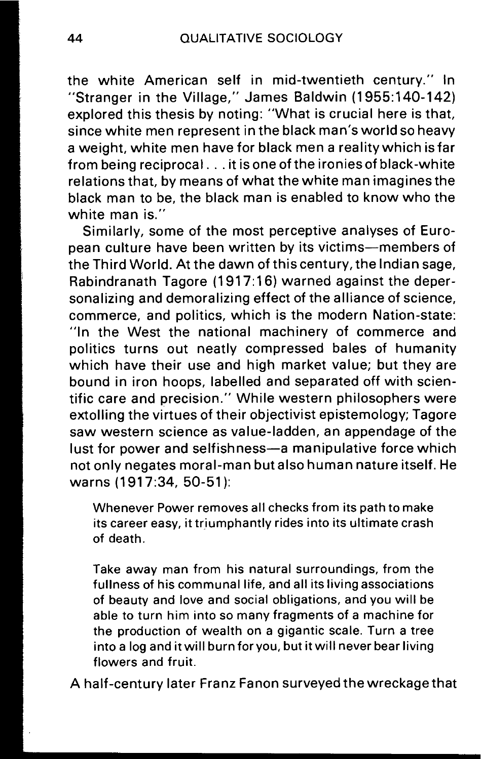the white American self in mid-twentieth century." In "Stranger in the Village," James Baldwin (1955:140-142) explored this thesis by noting: "What is crucial here is that, since white men represent in the black man's world so heavy a weight, white men have for black men a reality which is far from being reciprocal ... it is one of the ironies of black-white relations that, by means of what the white man imagines the black man to be, the black man is enabled to know who the white man is."

Similarly, some of the most perceptive analyses of European culture have been written by its victims-members of the Third World. At the dawn of this century, the Indian sage, Rabindranath Tagore (1917:16) warned against the depersonalizing and demoralizing effect of the alliance of science, commerce, and politics, which is the modern Nation-state: "In the West the national machinery of commerce and politics turns out neatly compressed bales of humanity which have their use and high market value; but they are bound in iron hoops, labelled and separated off with scientific care and precision." While western philosophers were extolling the virtues of their objectivist epistemology; Tagore saw western science as value-ladden, an appendage of the lust for power and selfishness-a manipulative force which not only negates moral-man but also human nature itself. He warns (1917:34, 50-51):

Whenever Power removes all checks from its path to make its career easy, it triumphantly rides into its ultimate crash of death.

Take away man from his natural surroundings, from the fullness of his communal life, and all its living associations of beauty and love and social obligations, and you will be able to turn him into so many fragments of a machine for the production of wealth on a gigantic scale. Turn a tree into a log and it will burn for you, but it will never bear living flowers and fruit.

A half-century later Franz Fanon surveyed the wreckage that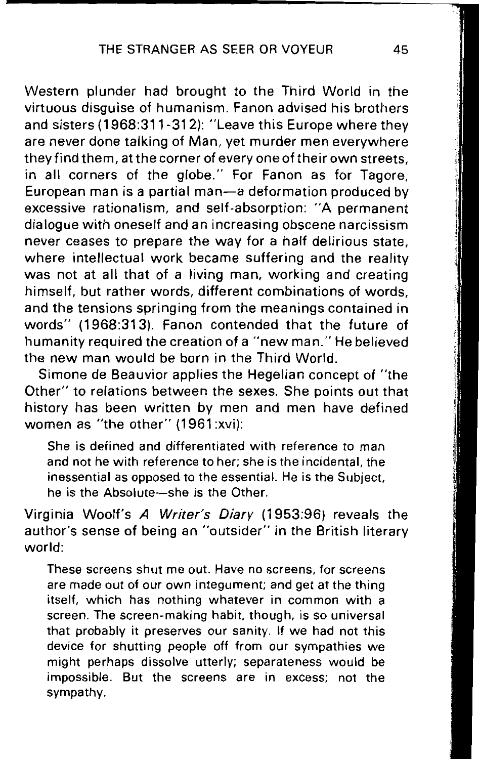Western plunder had brought to the Third World in the virtuous disguise of humanism. Fanon advised his brothers and sisters (1968:311-312): "Leave this Europe where they are never done talking of Man, yet murder men everywhere they find them, at the corner of every one of their own streets, in all corners of the globe." For Fanon as for Tagore, European man is a partial man-a deformation produced by excessive rationalism, and self-absorption: "A permanent dialogue with oneself and an increasing obscene narcissism never ceases to prepare the way for a half delirious state, where intellectual work became suffering and the reality was not at all that of a living man, working and creating himself, but rather words, different combinations of words, and the tensions springing from the meanings contained in words" (1968:313). Fanon contended that the future of humanity required the creation of a "new man." He believed the new man would be born in the Third World.

Simone de Beauvior applies the Hegelian concept of "the Other" to relations between the sexes. She points out that history has been written by men and men have defined women as "the other" (1961:xvi):

She is defined and differentiated with reference to man and not he with reference to her; she is the incidental, the inessential as opposed to the essential. He is the Subject, he is the Absolute-she is the Other.

Virginia Woolf's A Writer's Diary (1953:96) reveals the author's sense of being an "outsider" in the British literary world:

These screens shut me out. Have no screens, for screens are made out of our own integument; and get at the thing itself, which has nothing whatever in common with a screen. The screen-making habit, though, is so universal that probably it preserves our sanity. If we had not this device for shutting people off from our sympathies we might perhaps dissolve utterly; separateness would be impossible. But the screens are in excess; not the sympathy.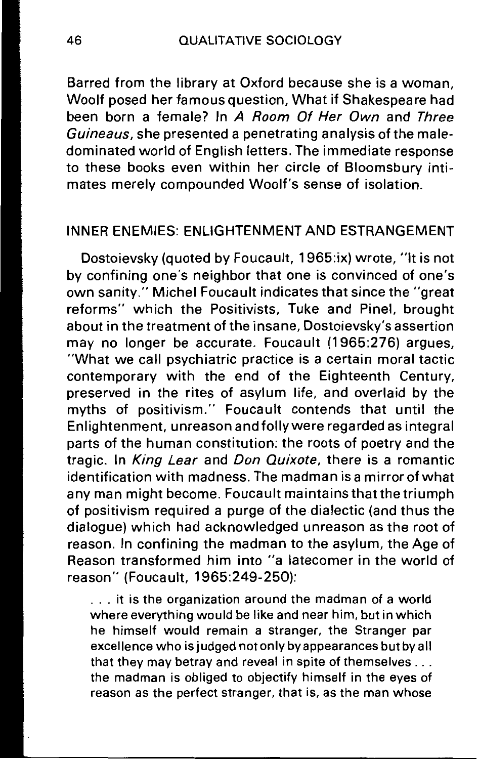Barred from the library at Oxford because she is a woman, Woolf posed her famous question, What if Shakespeare had been born a female? In A Room Of Her Own and Three Guineaus, she presented a penetrating analysis of the maledominated world of English letters. The immediate response to these books even within her circle of Bloomsbury intimates merely compounded Woolf's sense of isolation.

# INNER ENEMIES: ENLIGHTENMENT AND ESTRANGEMENT

Dostoievsky (quoted by Foucault, 1965:ix) wrote, "It is not by confining one's neighbor that one is convinced of one's own sanity." Michel Foucault indicates that since the "great reforms" which the Positivists, Tuke and Pinel, brought about in the treatment of the insane, Dostoievsky's assertion may no longer be accurate. Foucault (1965:276) argues, "What we call psychiatric practice is a certain moral tactic contemporary with the end of the Eighteenth Century, preserved in the rites of asylum life, and overlaid by the myths of positivism." Foucault contends that until the Enlightenment, unreason and folly were regarded as integral parts of the human constitution: the roots of poetry and the tragic. In King Lear and Don Quixote, there is a romantic identification with madness. The madman is a mirror of what any man might become. Foucault maintains that the triumph of positivism required a purge of the dialectic (and thus the dialogue) which had acknowledged unreason as the root of reason. In confining the madman to the asylum, the Age of Reason transformed him into "a latecomer in the world of reason" (Foucault, 1965:249-250):

... it is the organization around the madman of a world where everything would be like and near him, but in which he himself would remain a stranger, the Stranger par excellence who is judged not only by appearances but by all that they may betray and reveal in spite of themselves ... the madman is obliged to objectify himself in the eyes of reason as the perfect stranger, that is, as the man whose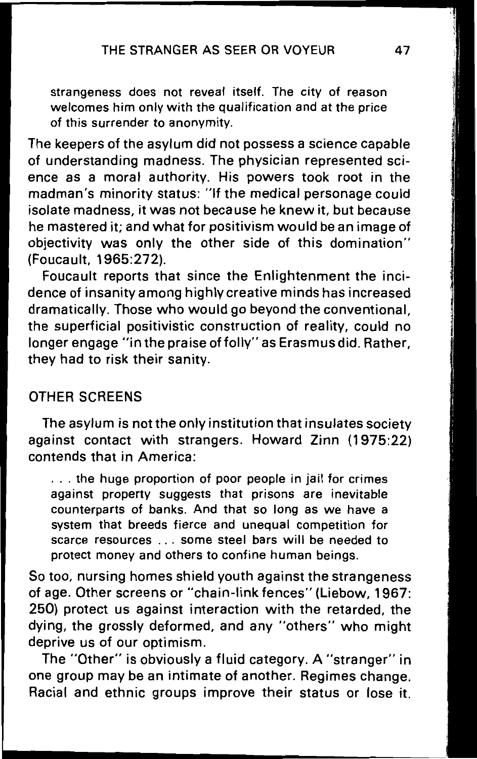strangeness does not reveal itself. The city of reason welcomes him only with the qualification and at the price of this surrender to anonymity.

The keepers of the asylum did not possess a science capable of understanding madness. The physician represented science as a moral authority. His powers took root in the madman's minority status: "If the medical personage could isolate madness, it was not because he knew it, but because he mastered it; and what for positivism would be an image of objectivity was only the other side of this domination" (Foucault, 1965:272).

Foucault reports that since the Enlightenment the incidence of insanity among highly creative minds has increased dramatically. Those who would go beyond the conventional, the superficial positivistic construction of reality, could no longer engage "in the praise of folly" as Erasmus did. Rather, they had to risk their sanity.

#### OTHER SCREENS

The asylum is not the only institution that insulates society against contact with strangers. Howard Zinn (1975:22) contends that in America:

... the huge proportion of poor people in jail for crimes against property suggests that prisons are inevitable counterparts of banks. And that so long as we have a system that breeds fierce and unequal competition for scarce resources ... some steel bars will be needed to protect money and others to confine human beings.

So too, nursing homes shield youth against the strangeness of age. Other screens or "chain-link fences" (Liebow, 1967: 250) protect us against interaction with the retarded, the dying, the grossly deformed, and any "others" who might deprive us of our optimism.

The "Other" is obviously a fluid category. A "stranger" in one group may be an intimate of another. Regimes change. Racial and ethnic groups improve their status or lose it.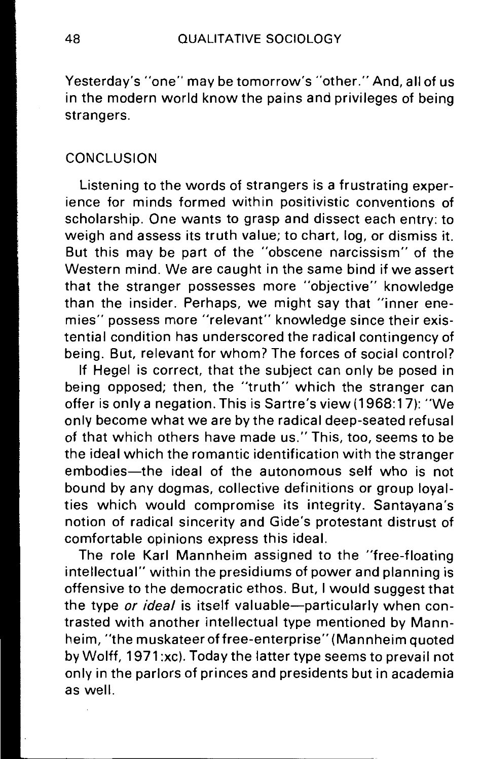Yesterday's "one" may be tomorrow's "other." And, all of us in the modern world know the pains and privileges of being strangers.

#### **CONCLUSION**

Listening to the words of strangers is a frustrating experience for minds formed within positivistic conventions of scholarship. One wants to grasp and dissect each entry: to weigh and assess its truth value; to chart, log, or dismiss it. But this may be part of the "obscene narcissism" of the Western mind. We are caught in the same bind if we assert that the stranger possesses more "objective" knowledge than the insider. Perhaps, we might say that "inner enemies" possess more "relevant" knowledge since their existential condition has underscored the radical contingency of being. But, relevant for whom? The forces of social control?

If Hegel is correct, that the subject can only be posed in being opposed; then, the "truth" which the stranger can offer is only a negation. This is Sartre's view (1968:17): "We only become what we are by the radical deep-seated refusal of that which others have made us." This, too, seems to be the ideal which the romantic identification with the stranger embodies-the ideal of the autonomous self who is not bound by any dogmas, collective definitions or group loyalties which would compromise its integrity. Santayana's notion of radical sincerity and Gide's protestant distrust of comfortable opinions express this ideal.

The role Karl Mannheim assigned to the "free-floating intellectual" within the presidiums of power and planning is offensive to the democratic ethos. But, I would suggest that the type or ideal is itself valuable-particularly when contrasted with another intellectual type mentioned by Mannheim, "the muskateer of free-enterprise" (Mannheim quoted by Wolff, 1971 :xc). Today the latter type seems to prevail not only in the parlors of princes and presidents but in academia as well.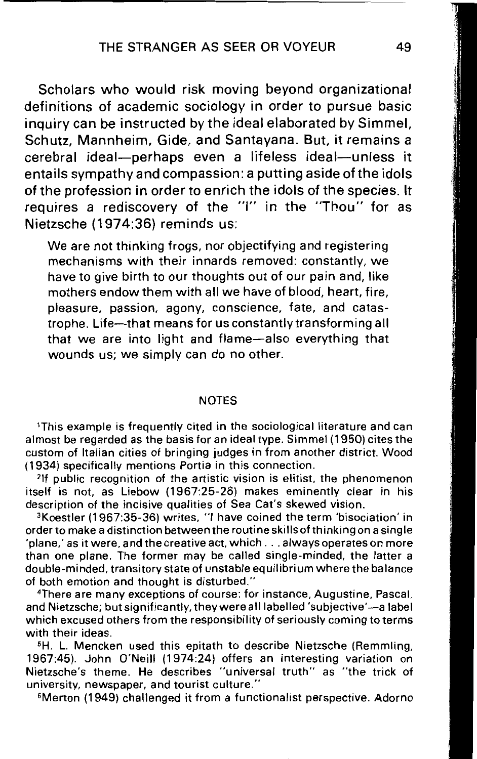Scholars who would risk moving beyond organizational definitions of academic sociology in order to pursue basic inquiry can be instructed by the ideal elaborated by Simmel, Schutz, Mannheim, Gide, and Santayana. But, it remains a cerebral ideal-perhaps even a lifeless ideal-unless it entails sympathy and compassion: a putting aside of the idols of the profession in order to enrich the idols of the species. It requires a rediscovery of the "I" in the "Thou" for as Nietzsche (1974:36) reminds us:

We are not thinking frogs, nor objectifying and registering mechanisms with their innards removed: constantly, we have to give birth to our thoughts out of our pain and, like mothers endow them with all we have of blood, heart, fire, pleasure, passion, agony, conscience, fate, and catastrophe. Life-that means for us constantly transforming all that we are into light and flame-also everything that wounds us; we simply can do no other.

#### NOTES

<sup>1</sup>This example is frequently cited in the sociological literature and car almost be regarded as the basis for an ideal type. Simmel (1950) cites the custom of Italian cities of bringing judges in from another district. Wood (1934) specifically mentions Portia in this connection.

<sup>2</sup>If public recognition of the artistic vision is elitist, the phenomenon itself is not, as Liebow (1967:25-26) makes eminently clear in his description of the incisive qualities of Sea Cat's skewed vision.

<sup>3</sup>Koestler (1967:35-36) writes, "I have coined the term 'bisociation' in order to make a distinction between the routine skills of thinking on a single 'plane,' as it were, and the creative act, which ... always operates on more than one plane. The former may be called single-minded, the latter a double-minded, transitory state of unstable equilibrium where the balance

<sup>4</sup>There are many exceptions of course: for instance, Augustine, Pascal and Nietzsche; but significantly, they were all labelled 'subjective'—a label which excused others from the responsibility of seriously coming to terms with their ideas

<sup>5</sup>H. L. Mencken used this epitath to describe Nietzsche (Remmling, 1967:45). John O'Neill (1974:24) offers an interesting variation on Nietzsche's theme. He describes "universal truth" as "the trick of university, newspaper, and tourist culture.'

<sup>6</sup>Merton (1949) challenged it from a functionalist perspective. Adorno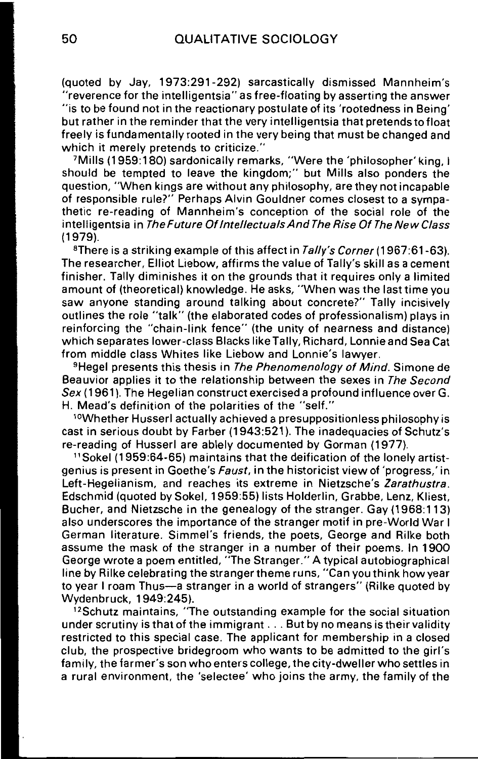(quoted by Jay, 1973:291-292) sarcastically dismissed Mannheim's "reverence for the intelligentsia" as free-floating by asserting the answer "is to be found not in the reactionary postulate of its 'rootedness in Being' but rather in the reminder that the very intelligentsia that pretends to float freely is fundamentally rooted in the very being that must be changed and which it merely pretends to criticize."

<sup>7</sup>Mills (1959:180) sardonically remarks, "Were the 'philosopher' king, I should be tempted to leave the kingdom;" but Mills also ponders the question, "When kings are without any philosophy, are they not incapable of responsible rule?" Perhaps Alvin Gouldner comes closest to a sympathetic re-reading of Mannheim's conception of the social role of the intelligentsia in The Future Of Intellectuals And The Rise Of The New Class (1979).

<sup>8</sup>There is a striking example of this affect in Tally's Corner (1967:61-63). The researcher, Elliot Liebow, affirms the value of Tally's skill as a cement finisher. Tally diminishes it on the grounds that it requires only a limited amount of (theoretical) knowledge. He asks, "When was the last time you saw anyone standing around talking about concrete?" Tally incisively outlines the role "talk" (the elaborated codes of professionalism) plays in reinforcing the "chain-link fence" (the unity of nearness and distance) which separates lower-class Blacks like Tally, Richard, Lonnie and Sea Cat from middle class Whites like Liebow and Lonnie's lawyer.

<sup>9</sup>Hegel presents this thesis in The Phenomenology of Mind. Simone de Beauvior applies it to the relationship between the sexes in The Second Sex (1961). The Hegelian construct exercised a profound influence over G.<br>H. Mead's definition of the polarities of the "self."

<sup>10</sup>Whether Husserl actually achieved a presupposition less philosophy is cast in serious doubt by Farber (1943:521 ). The inadequacies of Schutz's re-reading of Husserl are ablely documented by Gorman (1977).

11 Sokel (1959:64-65) maintains that the deification of the lonely artistgenius is present in Goethe's *Faust*, in the historicist view of 'progress,' in Left-Hegelianism, and reaches its extreme in Nietzsche's Zarathustra. Edschmid (quoted by Sokel, 1959:55) lists Holderlin, Grabbe, Lenz, Kliest, Bucher, and Nietzsche in the genealogy of the stranger. Gay (1968: 113) also underscores the importance of the stranger motif in pre-World War I German literature. Simmel's friends, the poets, George and Rilke both assume the mask of the stranger in a number of their poems. In 1900 George wrote a poem entitled, "The Stranger." A typical autobiographical line by Rilke celebrating the stranger theme runs, "Can you think how year to year I roam Thus-a stranger in a world of strangers" (Rilke quoted by Wydenbruck, 1949:245).

<sup>12</sup>Schutz maintains, 'The outstanding example for the social situation under scrutiny is that of the immigrant ... But by no means is their validity restricted to this special case. The applicant for membership in a closed club, the prospective bridegroom who wants to be admitted to the girl's family, the farmer's son who enters college, the city-dweller who settles in a rural environment, the 'selectee' who joins the army, the family of the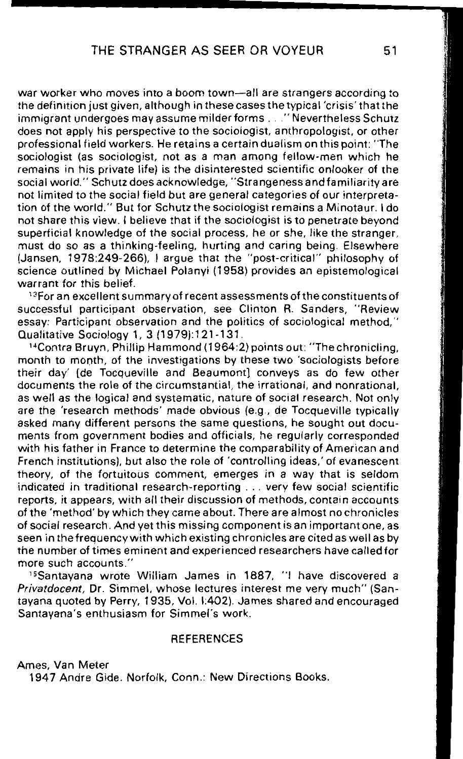war worker who moves into a boom town-all are strangers according to the definition just given, although in these cases the typical 'crisis' that the immigrant undergoes may assume milder forms . ... "Nevertheless Schutz does not apply his perspective to the sociologist, anthropologist, or other professional field workers. He retains a certain dualism on this point: "The sociologist (as sociologist, not as a man among fellow-men which he remains in his private life) is the disinterested scientific onlooker of the social world." Schutz does acknowledge, "Strangeness and familiarity are not limited to the social field but are general categories of our interpretation of the world." But for Schutz the sociologist remains a Minotaur. I do not share this view. I believe that if the sociologist is to penetrate beyond superficial knowledge of the social process, he or she, like the stranger, must do so as a thinking-feeling, hurting and caring being. Elsewhere (Jansen, 1978:249-266), I argue that the "post-critical" philosophy of science outlined by Michael Polanyi (1958) provides an epistemological warrant for this belief.

<sup>13</sup>For an excellent summary of recent assessments of the constituents of successful participant observation, see Clinton R. Sanders, "Review essay: Participant observation and the politics of sociological method,"<br>Qualitative Sociology 1, 3 (1979):121-131.

<sup>14</sup> Contra Bruyn, Phillip Hammond (1964:2) points out: "The chronicling, month to month, of the investigations by these two 'sociologists before their day' [de Tocqueville and Beaumont) conveys as do few other documents the role of the circumstantial, the irrational, and nonrational, as well as the logical and systematic, nature of social research. Not only are the 'research methods' made obvious (e.g., de Tocqueville typically asked many different persons the same questions, he sought out documents from government bodies and officials, he regularly corresponded with his father in France to determine the comparability of American and French institutions), but also the role of 'controlling ideas,' of evanescent theory, of the fortuitous comment, emerges in a way that is seldom indicated in traditional research-reporting ... very few social scientific reports, it appears, with all their discussion of methods, contain accounts of the 'method' by which they came about. There are almost no chronicles of social research. And yet this missing component is an important one, as seen in the frequency with which existing chronicles are cited as well as by the number of times eminent and experienced researchers have called for more such accounts."<br>15Santayana wrote William James in 1887, "I have discovered a

*Privatdocent,* Dr. Simmel. whose lectures interest me very much" (Santayana quoted by Perry, 1 935, Vol. 1:402). James shared and encouraged Santayana's enthusiasm for Simmel's work.

#### **REFERENCES**

Ames, Van Meter

1947 Andre Gide. Norfolk, Conn.: New Directions Books.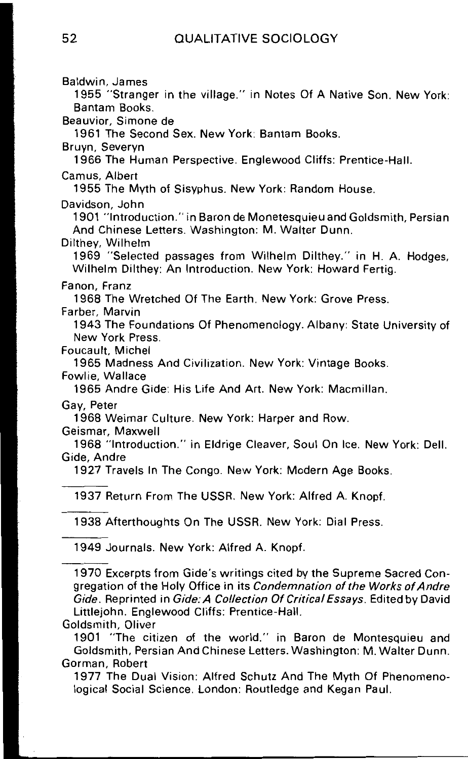Baldwin, James 1955 "Stranger in the village." in Notes Of A Native Son. New York: Bantam Books. Beauvior, Simone de 1961 The Second Sex. New York: Bantam Books. Bruyn, Severyn 1966 The Human Perspective. Englewood Cliffs: Prentice-Hall. Camus, Albert 1955 The Myth of Sisyphus. New York: Random House. Davidson, John 1901 "Introduction." in Baron de Monetesquieu and Goldsmith, Persian And Chinese Letters. Washington: M. Walter Dunn. Dilthey, Wilhelm 1969 "Selected passages from Wilhelm Dilthey." in H. A. Hodges, Wilhelm Dilthey: An Introduction. New York: Howard Fertig. Fanon, Franz 1968 The Wretched Of The Earth. New York: Grove Press. Farber, Marvin 1943 The Foundations Of Phenomenology. Albany: State University of New York Press. Foucault, Michel 1965 Madness And Civilization. New York: Vintage Books. Fowlie, Wallace 1965 Andre Gide: His Life And Art. New York: Macmillan. Gay, Peter 1968 Weimar Culture. New York: Harper and Row. Geismar, Maxwell 1968 "Introduction." in Eldrige Cleaver, Soul On Ice. New York: Dell. Gide, Andre 1927 Travels In The Congo. New York: Modern Age Books. 1937 Return From The USSR. New York: Alfred A. Knopf. 1938 Afterthoughts On The USSR. New York: Dial Press. 1949 Journals. New York: Alfred A. Knopf. 1970 Excerpts from Gide's writings cited by the Supreme Sacred Congregation of the Holy Office in its Condemnation of the Works of Andre Gide. Reprinted in Gide: A Collection Of Critical Essays. Edited by David Littlejohn. Englewood Cliffs: Prentice-Hall.

Goldsmith, Oliver

1901 "The citizen of the world." in Baron de Montesquieu and Goldsmith, Persian And Chinese Letters. Washington: M. Walter Dunn. Gorman, Robert

1977 The Dual Vision: Alfred Schutz And The Myth Of Phenomenological Social Science. London: Routledge and Kegan Paul.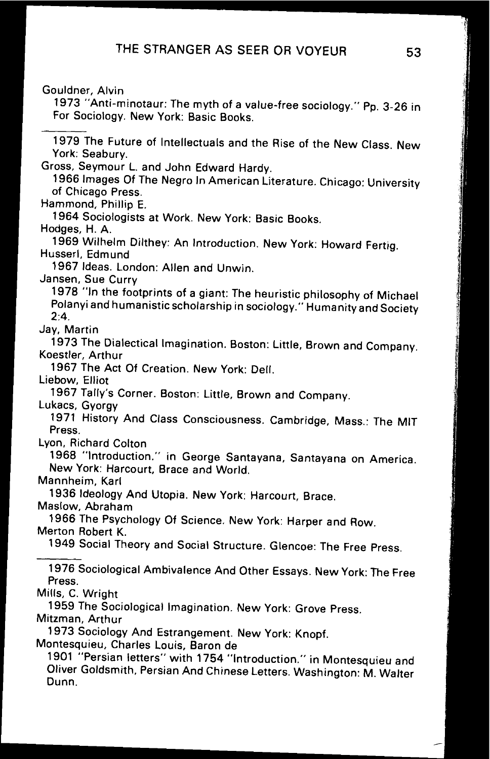Gouldner, Alvin

1973 "Anti-minotaur: The myth of a value-free sociology." Pp. 3-26 in For Sociology. New York: Basic Books.

1979 The Future of Intellectuals and the Rise of the New Class. New York: Seabury. Gross, Seymour L. and John Edward Hardy. 1966 Images Of The Negro In American Literature. Chicago: University of Chicago Press. Hammond, Phillip E. 1964 Sociologists at Work. New York: Basic Books. Hodges, H. A. 1969 Wilhelm Dilthey: An Introduction. New York: Howard Fertig. Husserl, Edmund 1967 Ideas. London: Allen and Unwin. Jansen, Sue Curry 1978 "In the footprints of a giant: The heuristic philosophy of Michael Polanyi and humanistic scholarship in sociology." Humanity and Society  $2:4.$ Jay, Martin 1973 The Dialectical Imagination. Boston: Little, Brown and Company. Koestler, Arthur 1967 The Act Of Creation. New York: Dell. Liebow, Elliot 1967 Tally's Corner. Boston: Little, Brown and Company. Lukacs, Gyorgy 1971 History And Class Consciousness. Cambridge, Mass.: The MIT Press. Lyon, Richard Colton 1968 "Introduction." in George Santayana, Santayana on America. New York: Harcourt, Brace and World. Mannheim, Karl 1936 Ideology And Utopia. New York: Harcourt, Brace. Maslow, Abraham 1966 The Psychology Of Science. New York: Harper and Row. Merton Robert K. 1949 Social Theory and Social Structure. Glencoe: The Free Press. 1976 Sociological Ambivalence And Other Essays. New York: The Free Press. Mills, C. Wright 1959 The Sociological Imagination. New York: Grove Press. Mitzman, Arthur 1973 Sociology And Estrangement. New York: Knopf. Montesquieu, Charles Louis, Baron de 1901 "Persian letters" with 1754 "Introduction." in Montesquieu and Oliver Goldsmith, Persian And Chinese Letters. Washington: M. Walter Dunn.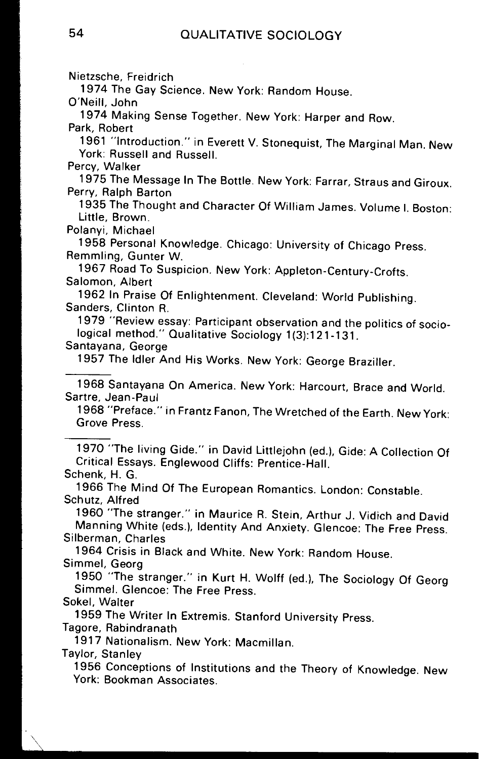Nietzsche, Freidrich

1974 The Gay Science. New York: Random House.

O'Neill, John

1974 Making Sense Together. New York: Harper and Row. Park, Robert

1961 "Introduction." in Everett V. Stonequist, The Marginal Man. New York: Russell and Russell.

Percy, Walker

1975 The Message In The Bottle. New York: Farrar, Straus and Giroux. Perry, Ralph Barton

1935 The Thought and Character Of William James. Volume I. Boston: Little, Brown.

Polanyi, Michael

1958 Personal Knowledge. Chicago: University of Chicago Press. Remmling, Gunter W.

1967 Road To Suspicion. New York: Appleton-Century-Crofts. Salomon, Albert

1962 In Praise Of Enlightenment. Cleveland: World Publishing. Sanders, Clinton R.

1979 "Review essay: Participant observation and the politics of sociological method." Qualitative Sociology 1(3):121-131.

Santayana, George

1957 The Idler And His Works. New York: George Braziller.

1968 Santayana On America. New York: Harcourt, Brace and World. Sartre, Jean-Paul

1968 "Preface." in Frantz Fanon, The Wretched of the Earth. New York: Grove Press.

1970 'The living Gide." in David Littlejohn (ed.), Gide: A Collection Of Critical Essays. Englewood Cliffs: Prentice-Hall.

Schenk, H. G.

1966 The Mind Of The European Romantics. London: Constable. Schutz, Alfred

1960 "The stranger." in Maurice R. Stein, Arthur J. Vidich and David Manning White (eds.), Identity And Anxiety. Glencoe: The Free Press. Silberman, Charles

1964 Crisis in Black and White. New York: Random House.

Simmel, Georg

1950 "The stranger." in Kurt H. Wolff (ed.), The Sociology Of Georg Simmel. Glencoe: The Free Press.

Sokel, Walter

1959 The Writer In Extremis. Stanford University Press.

Tagore, Rabindranath

1917 Nationalism. New York: Macmillan.

Taylor, Stanley

1956 Conceptions of Institutions and the Theory of Knowledge. New York: Bookman Associates.